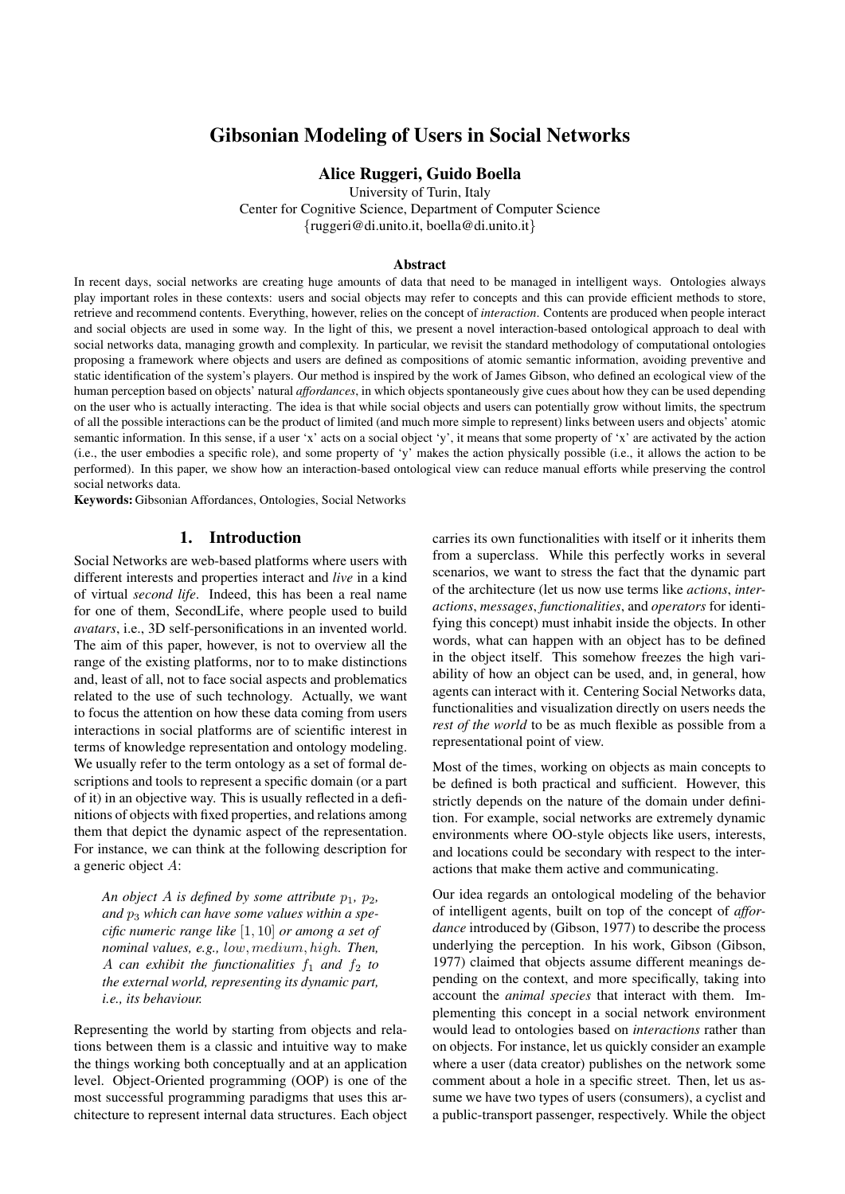# Gibsonian Modeling of Users in Social Networks

# Alice Ruggeri, Guido Boella

University of Turin, Italy Center for Cognitive Science, Department of Computer Science {ruggeri@di.unito.it, boella@di.unito.it}

#### Abstract

In recent days, social networks are creating huge amounts of data that need to be managed in intelligent ways. Ontologies always play important roles in these contexts: users and social objects may refer to concepts and this can provide efficient methods to store, retrieve and recommend contents. Everything, however, relies on the concept of *interaction*. Contents are produced when people interact and social objects are used in some way. In the light of this, we present a novel interaction-based ontological approach to deal with social networks data, managing growth and complexity. In particular, we revisit the standard methodology of computational ontologies proposing a framework where objects and users are defined as compositions of atomic semantic information, avoiding preventive and static identification of the system's players. Our method is inspired by the work of James Gibson, who defined an ecological view of the human perception based on objects' natural *affordances*, in which objects spontaneously give cues about how they can be used depending on the user who is actually interacting. The idea is that while social objects and users can potentially grow without limits, the spectrum of all the possible interactions can be the product of limited (and much more simple to represent) links between users and objects' atomic semantic information. In this sense, if a user 'x' acts on a social object 'y', it means that some property of 'x' are activated by the action (i.e., the user embodies a specific role), and some property of 'y' makes the action physically possible (i.e., it allows the action to be performed). In this paper, we show how an interaction-based ontological view can reduce manual efforts while preserving the control social networks data.

Keywords: Gibsonian Affordances, Ontologies, Social Networks

# 1. Introduction

Social Networks are web-based platforms where users with different interests and properties interact and *live* in a kind of virtual *second life*. Indeed, this has been a real name for one of them, SecondLife, where people used to build *avatars*, i.e., 3D self-personifications in an invented world. The aim of this paper, however, is not to overview all the range of the existing platforms, nor to to make distinctions and, least of all, not to face social aspects and problematics related to the use of such technology. Actually, we want to focus the attention on how these data coming from users interactions in social platforms are of scientific interest in terms of knowledge representation and ontology modeling. We usually refer to the term ontology as a set of formal descriptions and tools to represent a specific domain (or a part of it) in an objective way. This is usually reflected in a definitions of objects with fixed properties, and relations among them that depict the dynamic aspect of the representation. For instance, we can think at the following description for a generic object A:

An object A is defined by some attribute  $p_1$ ,  $p_2$ , and  $p_3$  which can have some values within a spe*cific numeric range like* [1, 10] *or among a set of nominal values, e.g.,* low, medium, high*. Then,* A can exhibit the functionalities  $f_1$  and  $f_2$  to *the external world, representing its dynamic part, i.e., its behaviour.*

Representing the world by starting from objects and relations between them is a classic and intuitive way to make the things working both conceptually and at an application level. Object-Oriented programming (OOP) is one of the most successful programming paradigms that uses this architecture to represent internal data structures. Each object carries its own functionalities with itself or it inherits them from a superclass. While this perfectly works in several scenarios, we want to stress the fact that the dynamic part of the architecture (let us now use terms like *actions*, *interactions*, *messages*, *functionalities*, and *operators* for identifying this concept) must inhabit inside the objects. In other words, what can happen with an object has to be defined in the object itself. This somehow freezes the high variability of how an object can be used, and, in general, how agents can interact with it. Centering Social Networks data, functionalities and visualization directly on users needs the *rest of the world* to be as much flexible as possible from a representational point of view.

Most of the times, working on objects as main concepts to be defined is both practical and sufficient. However, this strictly depends on the nature of the domain under definition. For example, social networks are extremely dynamic environments where OO-style objects like users, interests, and locations could be secondary with respect to the interactions that make them active and communicating.

Our idea regards an ontological modeling of the behavior of intelligent agents, built on top of the concept of *affordance* introduced by (Gibson, 1977) to describe the process underlying the perception. In his work, Gibson (Gibson, 1977) claimed that objects assume different meanings depending on the context, and more specifically, taking into account the *animal species* that interact with them. Implementing this concept in a social network environment would lead to ontologies based on *interactions* rather than on objects. For instance, let us quickly consider an example where a user (data creator) publishes on the network some comment about a hole in a specific street. Then, let us assume we have two types of users (consumers), a cyclist and a public-transport passenger, respectively. While the object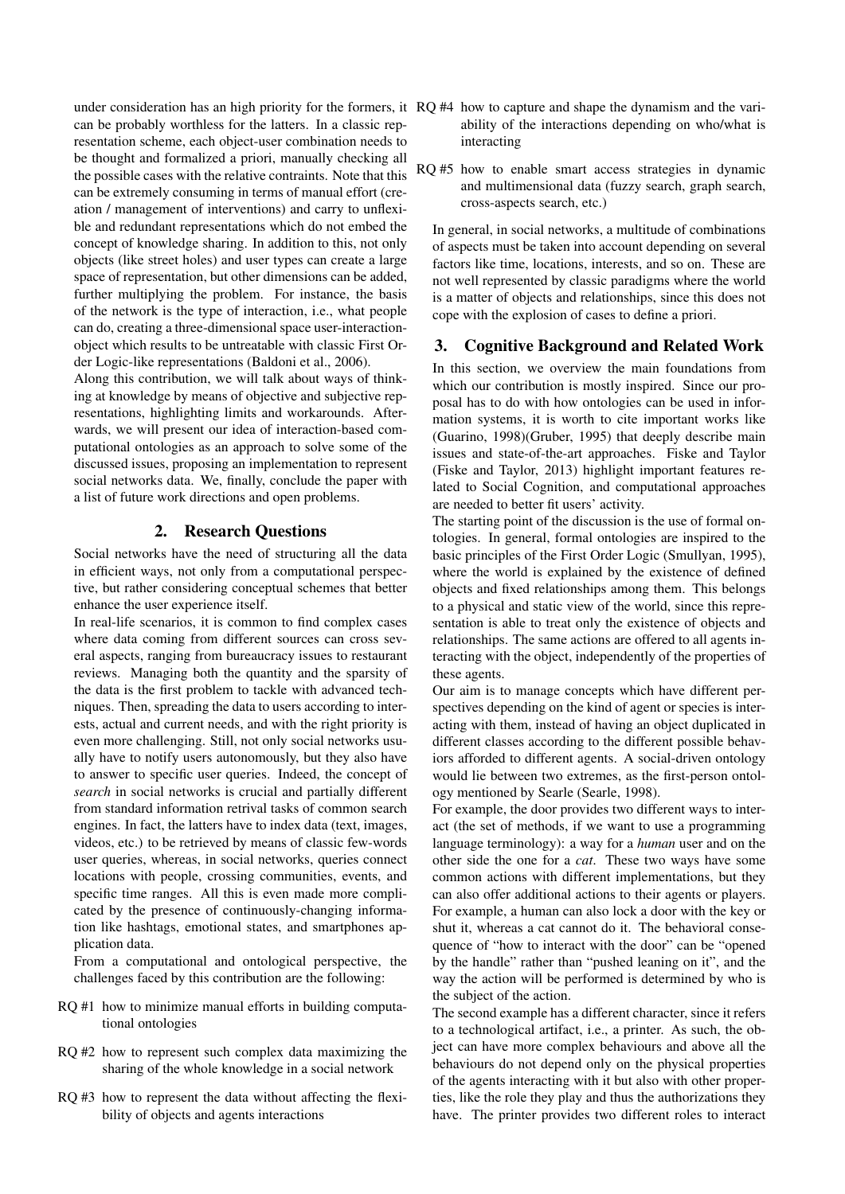can be probably worthless for the latters. In a classic representation scheme, each object-user combination needs to be thought and formalized a priori, manually checking all the possible cases with the relative contraints. Note that this can be extremely consuming in terms of manual effort (creation / management of interventions) and carry to unflexible and redundant representations which do not embed the concept of knowledge sharing. In addition to this, not only objects (like street holes) and user types can create a large space of representation, but other dimensions can be added, further multiplying the problem. For instance, the basis of the network is the type of interaction, i.e., what people can do, creating a three-dimensional space user-interactionobject which results to be untreatable with classic First Order Logic-like representations (Baldoni et al., 2006).

Along this contribution, we will talk about ways of thinking at knowledge by means of objective and subjective representations, highlighting limits and workarounds. Afterwards, we will present our idea of interaction-based computational ontologies as an approach to solve some of the discussed issues, proposing an implementation to represent social networks data. We, finally, conclude the paper with a list of future work directions and open problems.

# 2. Research Questions

Social networks have the need of structuring all the data in efficient ways, not only from a computational perspective, but rather considering conceptual schemes that better enhance the user experience itself.

In real-life scenarios, it is common to find complex cases where data coming from different sources can cross several aspects, ranging from bureaucracy issues to restaurant reviews. Managing both the quantity and the sparsity of the data is the first problem to tackle with advanced techniques. Then, spreading the data to users according to interests, actual and current needs, and with the right priority is even more challenging. Still, not only social networks usually have to notify users autonomously, but they also have to answer to specific user queries. Indeed, the concept of *search* in social networks is crucial and partially different from standard information retrival tasks of common search engines. In fact, the latters have to index data (text, images, videos, etc.) to be retrieved by means of classic few-words user queries, whereas, in social networks, queries connect locations with people, crossing communities, events, and specific time ranges. All this is even made more complicated by the presence of continuously-changing information like hashtags, emotional states, and smartphones application data.

From a computational and ontological perspective, the challenges faced by this contribution are the following:

- RQ #1 how to minimize manual efforts in building computational ontologies
- RQ #2 how to represent such complex data maximizing the sharing of the whole knowledge in a social network
- RQ #3 how to represent the data without affecting the flexibility of objects and agents interactions
- under consideration has an high priority for the formers, it RQ #4 how to capture and shape the dynamism and the variability of the interactions depending on who/what is interacting
	- RQ #5 how to enable smart access strategies in dynamic and multimensional data (fuzzy search, graph search, cross-aspects search, etc.)

In general, in social networks, a multitude of combinations of aspects must be taken into account depending on several factors like time, locations, interests, and so on. These are not well represented by classic paradigms where the world is a matter of objects and relationships, since this does not cope with the explosion of cases to define a priori.

# 3. Cognitive Background and Related Work

In this section, we overview the main foundations from which our contribution is mostly inspired. Since our proposal has to do with how ontologies can be used in information systems, it is worth to cite important works like (Guarino, 1998)(Gruber, 1995) that deeply describe main issues and state-of-the-art approaches. Fiske and Taylor (Fiske and Taylor, 2013) highlight important features related to Social Cognition, and computational approaches are needed to better fit users' activity.

The starting point of the discussion is the use of formal ontologies. In general, formal ontologies are inspired to the basic principles of the First Order Logic (Smullyan, 1995), where the world is explained by the existence of defined objects and fixed relationships among them. This belongs to a physical and static view of the world, since this representation is able to treat only the existence of objects and relationships. The same actions are offered to all agents interacting with the object, independently of the properties of these agents.

Our aim is to manage concepts which have different perspectives depending on the kind of agent or species is interacting with them, instead of having an object duplicated in different classes according to the different possible behaviors afforded to different agents. A social-driven ontology would lie between two extremes, as the first-person ontology mentioned by Searle (Searle, 1998).

For example, the door provides two different ways to interact (the set of methods, if we want to use a programming language terminology): a way for a *human* user and on the other side the one for a *cat*. These two ways have some common actions with different implementations, but they can also offer additional actions to their agents or players. For example, a human can also lock a door with the key or shut it, whereas a cat cannot do it. The behavioral consequence of "how to interact with the door" can be "opened by the handle" rather than "pushed leaning on it", and the way the action will be performed is determined by who is the subject of the action.

The second example has a different character, since it refers to a technological artifact, i.e., a printer. As such, the object can have more complex behaviours and above all the behaviours do not depend only on the physical properties of the agents interacting with it but also with other properties, like the role they play and thus the authorizations they have. The printer provides two different roles to interact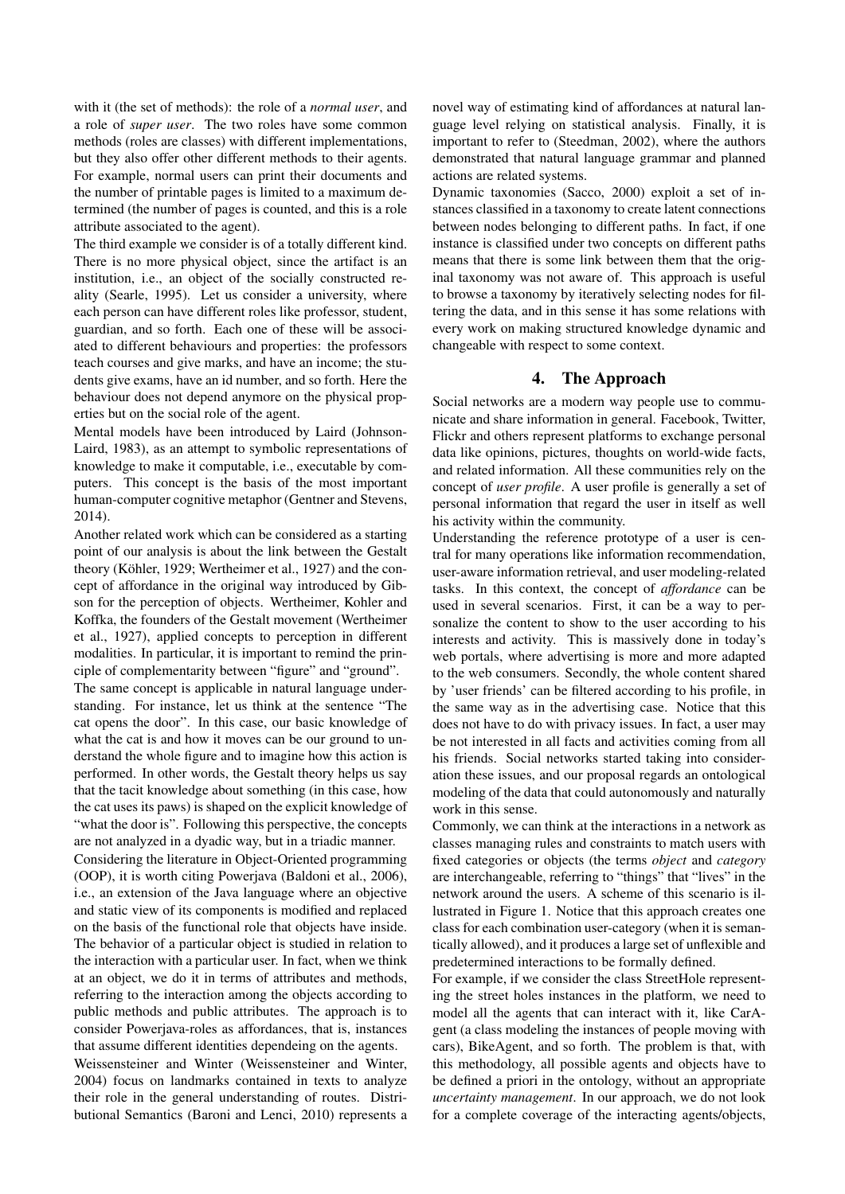with it (the set of methods): the role of a *normal user*, and a role of *super user*. The two roles have some common methods (roles are classes) with different implementations, but they also offer other different methods to their agents. For example, normal users can print their documents and the number of printable pages is limited to a maximum determined (the number of pages is counted, and this is a role attribute associated to the agent).

The third example we consider is of a totally different kind. There is no more physical object, since the artifact is an institution, i.e., an object of the socially constructed reality (Searle, 1995). Let us consider a university, where each person can have different roles like professor, student, guardian, and so forth. Each one of these will be associated to different behaviours and properties: the professors teach courses and give marks, and have an income; the students give exams, have an id number, and so forth. Here the behaviour does not depend anymore on the physical properties but on the social role of the agent.

Mental models have been introduced by Laird (Johnson-Laird, 1983), as an attempt to symbolic representations of knowledge to make it computable, i.e., executable by computers. This concept is the basis of the most important human-computer cognitive metaphor (Gentner and Stevens, 2014).

Another related work which can be considered as a starting point of our analysis is about the link between the Gestalt theory (Köhler, 1929; Wertheimer et al., 1927) and the concept of affordance in the original way introduced by Gibson for the perception of objects. Wertheimer, Kohler and Koffka, the founders of the Gestalt movement (Wertheimer et al., 1927), applied concepts to perception in different modalities. In particular, it is important to remind the principle of complementarity between "figure" and "ground".

The same concept is applicable in natural language understanding. For instance, let us think at the sentence "The cat opens the door". In this case, our basic knowledge of what the cat is and how it moves can be our ground to understand the whole figure and to imagine how this action is performed. In other words, the Gestalt theory helps us say that the tacit knowledge about something (in this case, how the cat uses its paws) is shaped on the explicit knowledge of "what the door is". Following this perspective, the concepts are not analyzed in a dyadic way, but in a triadic manner.

Considering the literature in Object-Oriented programming (OOP), it is worth citing Powerjava (Baldoni et al., 2006), i.e., an extension of the Java language where an objective and static view of its components is modified and replaced on the basis of the functional role that objects have inside. The behavior of a particular object is studied in relation to the interaction with a particular user. In fact, when we think at an object, we do it in terms of attributes and methods, referring to the interaction among the objects according to public methods and public attributes. The approach is to consider Powerjava-roles as affordances, that is, instances that assume different identities dependeing on the agents.

Weissensteiner and Winter (Weissensteiner and Winter, 2004) focus on landmarks contained in texts to analyze their role in the general understanding of routes. Distributional Semantics (Baroni and Lenci, 2010) represents a novel way of estimating kind of affordances at natural language level relying on statistical analysis. Finally, it is important to refer to (Steedman, 2002), where the authors demonstrated that natural language grammar and planned actions are related systems.

Dynamic taxonomies (Sacco, 2000) exploit a set of instances classified in a taxonomy to create latent connections between nodes belonging to different paths. In fact, if one instance is classified under two concepts on different paths means that there is some link between them that the original taxonomy was not aware of. This approach is useful to browse a taxonomy by iteratively selecting nodes for filtering the data, and in this sense it has some relations with every work on making structured knowledge dynamic and changeable with respect to some context.

# 4. The Approach

Social networks are a modern way people use to communicate and share information in general. Facebook, Twitter, Flickr and others represent platforms to exchange personal data like opinions, pictures, thoughts on world-wide facts, and related information. All these communities rely on the concept of *user profile*. A user profile is generally a set of personal information that regard the user in itself as well his activity within the community.

Understanding the reference prototype of a user is central for many operations like information recommendation, user-aware information retrieval, and user modeling-related tasks. In this context, the concept of *affordance* can be used in several scenarios. First, it can be a way to personalize the content to show to the user according to his interests and activity. This is massively done in today's web portals, where advertising is more and more adapted to the web consumers. Secondly, the whole content shared by 'user friends' can be filtered according to his profile, in the same way as in the advertising case. Notice that this does not have to do with privacy issues. In fact, a user may be not interested in all facts and activities coming from all his friends. Social networks started taking into consideration these issues, and our proposal regards an ontological modeling of the data that could autonomously and naturally work in this sense.

Commonly, we can think at the interactions in a network as classes managing rules and constraints to match users with fixed categories or objects (the terms *object* and *category* are interchangeable, referring to "things" that "lives" in the network around the users. A scheme of this scenario is illustrated in Figure 1. Notice that this approach creates one class for each combination user-category (when it is semantically allowed), and it produces a large set of unflexible and predetermined interactions to be formally defined.

For example, if we consider the class StreetHole representing the street holes instances in the platform, we need to model all the agents that can interact with it, like CarAgent (a class modeling the instances of people moving with cars), BikeAgent, and so forth. The problem is that, with this methodology, all possible agents and objects have to be defined a priori in the ontology, without an appropriate *uncertainty management*. In our approach, we do not look for a complete coverage of the interacting agents/objects,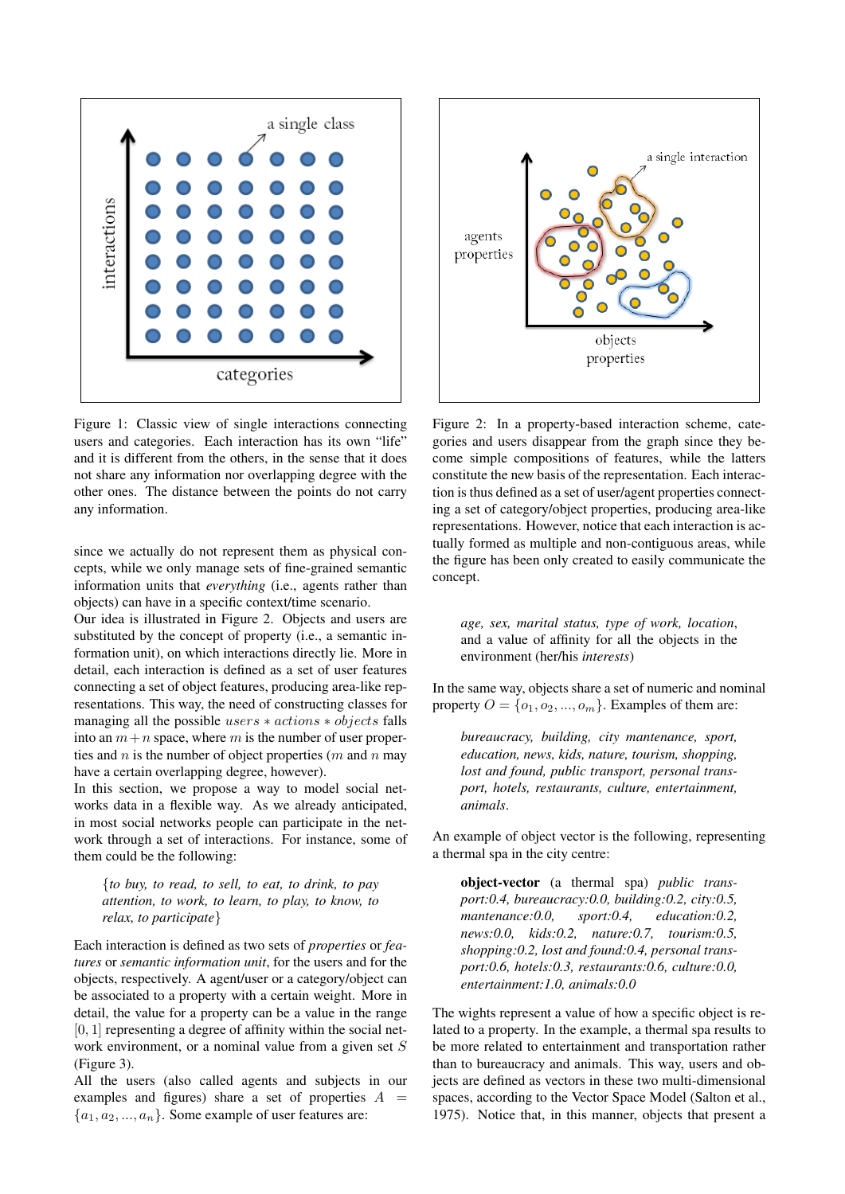

Figure 1: Classic view of single interactions connecting users and categories. Each interaction has its own "life" and it is different from the others, in the sense that it does not share any information nor overlapping degree with the other ones. The distance between the points do not carry any information.

since we actually do not represent them as physical concepts, while we only manage sets of fine-grained semantic information units that *everything* (i.e., agents rather than objects) can have in a specific context/time scenario.

Our idea is illustrated in Figure 2. Objects and users are substituted by the concept of property (i.e., a semantic information unit), on which interactions directly lie. More in detail, each interaction is defined as a set of user features connecting a set of object features, producing area-like representations. This way, the need of constructing classes for managing all the possible users  $∗$  actions  $∗$  objects falls into an  $m+n$  space, where m is the number of user properties and n is the number of object properties  $(m \text{ and } n \text{ may})$ have a certain overlapping degree, however).

In this section, we propose a way to model social networks data in a flexible way. As we already anticipated, in most social networks people can participate in the network through a set of interactions. For instance, some of them could be the following:

{*to buy, to read, to sell, to eat, to drink, to pay attention, to work, to learn, to play, to know, to relax, to participate*}

Each interaction is defined as two sets of *properties* or *features* or *semantic information unit*, for the users and for the objects, respectively. A agent/user or a category/object can be associated to a property with a certain weight. More in detail, the value for a property can be a value in the range  $[0, 1]$  representing a degree of affinity within the social network environment, or a nominal value from a given set S (Figure 3).

All the users (also called agents and subjects in our examples and figures) share a set of properties  $A =$  ${a_1, a_2, ..., a_n}$ . Some example of user features are:



Figure 2: In a property-based interaction scheme, categories and users disappear from the graph since they become simple compositions of features, while the latters constitute the new basis of the representation. Each interaction is thus defined as a set of user/agent properties connecting a set of category/object properties, producing area-like representations. However, notice that each interaction is actually formed as multiple and non-contiguous areas, while the figure has been only created to easily communicate the concept.

*age, sex, marital status, type of work, location*, and a value of affinity for all the objects in the environment (her/his *interests*)

In the same way, objects share a set of numeric and nominal property  $O = \{o_1, o_2, ..., o_m\}$ . Examples of them are:

*bureaucracy, building, city mantenance, sport, education, news, kids, nature, tourism, shopping, lost and found, public transport, personal transport, hotels, restaurants, culture, entertainment, animals*.

An example of object vector is the following, representing a thermal spa in the city centre:

object-vector (a thermal spa) *public transport:0.4, bureaucracy:0.0, building:0.2, city:0.5, mantenance:0.0, sport:0.4, education:0.2, news:0.0, kids:0.2, nature:0.7, tourism:0.5, shopping:0.2, lost and found:0.4, personal transport:0.6, hotels:0.3, restaurants:0.6, culture:0.0, entertainment:1.0, animals:0.0*

The wights represent a value of how a specific object is related to a property. In the example, a thermal spa results to be more related to entertainment and transportation rather than to bureaucracy and animals. This way, users and objects are defined as vectors in these two multi-dimensional spaces, according to the Vector Space Model (Salton et al., 1975). Notice that, in this manner, objects that present a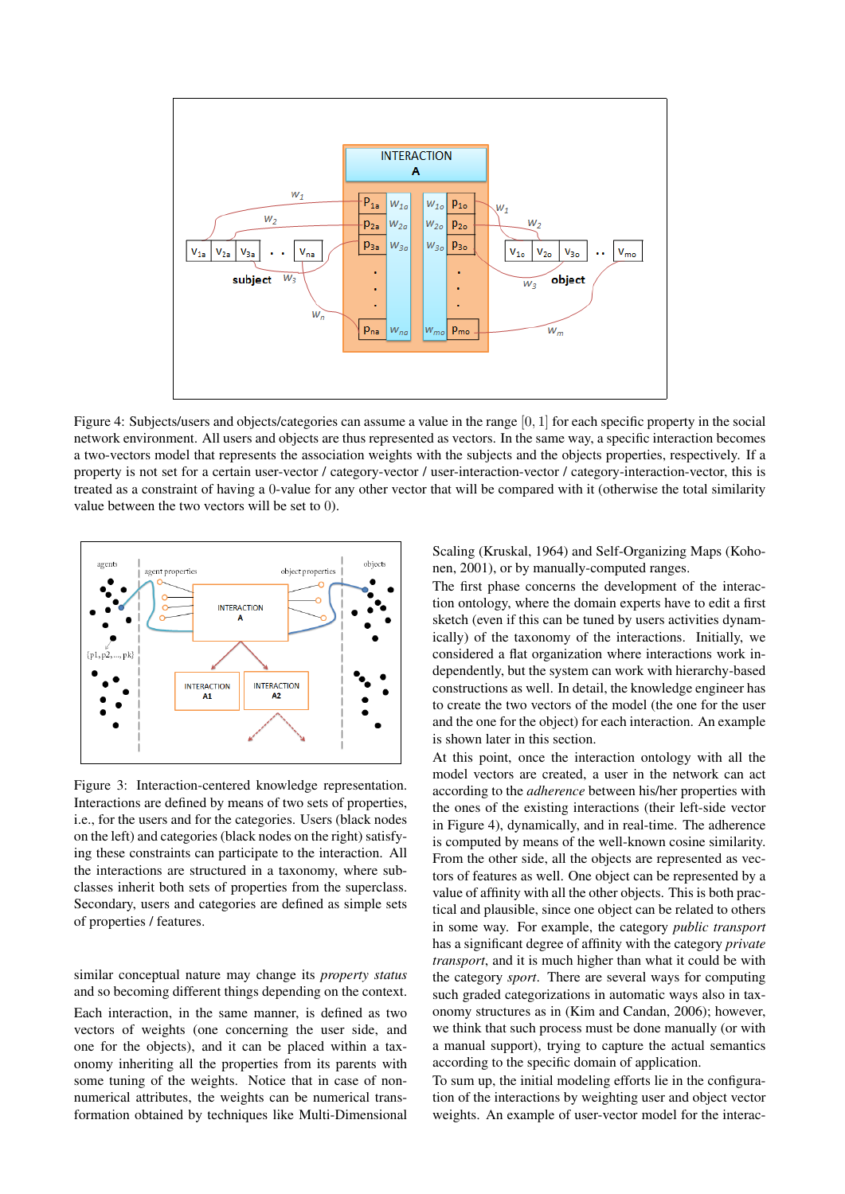

Figure 4: Subjects/users and objects/categories can assume a value in the range [0, 1] for each specific property in the social network environment. All users and objects are thus represented as vectors. In the same way, a specific interaction becomes a two-vectors model that represents the association weights with the subjects and the objects properties, respectively. If a property is not set for a certain user-vector / category-vector / user-interaction-vector / category-interaction-vector, this is treated as a constraint of having a 0-value for any other vector that will be compared with it (otherwise the total similarity value between the two vectors will be set to 0).



Figure 3: Interaction-centered knowledge representation. Interactions are defined by means of two sets of properties, i.e., for the users and for the categories. Users (black nodes on the left) and categories (black nodes on the right) satisfying these constraints can participate to the interaction. All the interactions are structured in a taxonomy, where subclasses inherit both sets of properties from the superclass. Secondary, users and categories are defined as simple sets of properties / features.

similar conceptual nature may change its *property status* and so becoming different things depending on the context.

Each interaction, in the same manner, is defined as two vectors of weights (one concerning the user side, and one for the objects), and it can be placed within a taxonomy inheriting all the properties from its parents with some tuning of the weights. Notice that in case of nonnumerical attributes, the weights can be numerical transformation obtained by techniques like Multi-Dimensional Scaling (Kruskal, 1964) and Self-Organizing Maps (Kohonen, 2001), or by manually-computed ranges.

The first phase concerns the development of the interaction ontology, where the domain experts have to edit a first sketch (even if this can be tuned by users activities dynamically) of the taxonomy of the interactions. Initially, we considered a flat organization where interactions work independently, but the system can work with hierarchy-based constructions as well. In detail, the knowledge engineer has to create the two vectors of the model (the one for the user and the one for the object) for each interaction. An example is shown later in this section.

At this point, once the interaction ontology with all the model vectors are created, a user in the network can act according to the *adherence* between his/her properties with the ones of the existing interactions (their left-side vector in Figure 4), dynamically, and in real-time. The adherence is computed by means of the well-known cosine similarity. From the other side, all the objects are represented as vectors of features as well. One object can be represented by a value of affinity with all the other objects. This is both practical and plausible, since one object can be related to others in some way. For example, the category *public transport* has a significant degree of affinity with the category *private transport*, and it is much higher than what it could be with the category *sport*. There are several ways for computing such graded categorizations in automatic ways also in taxonomy structures as in (Kim and Candan, 2006); however, we think that such process must be done manually (or with a manual support), trying to capture the actual semantics according to the specific domain of application.

To sum up, the initial modeling efforts lie in the configuration of the interactions by weighting user and object vector weights. An example of user-vector model for the interac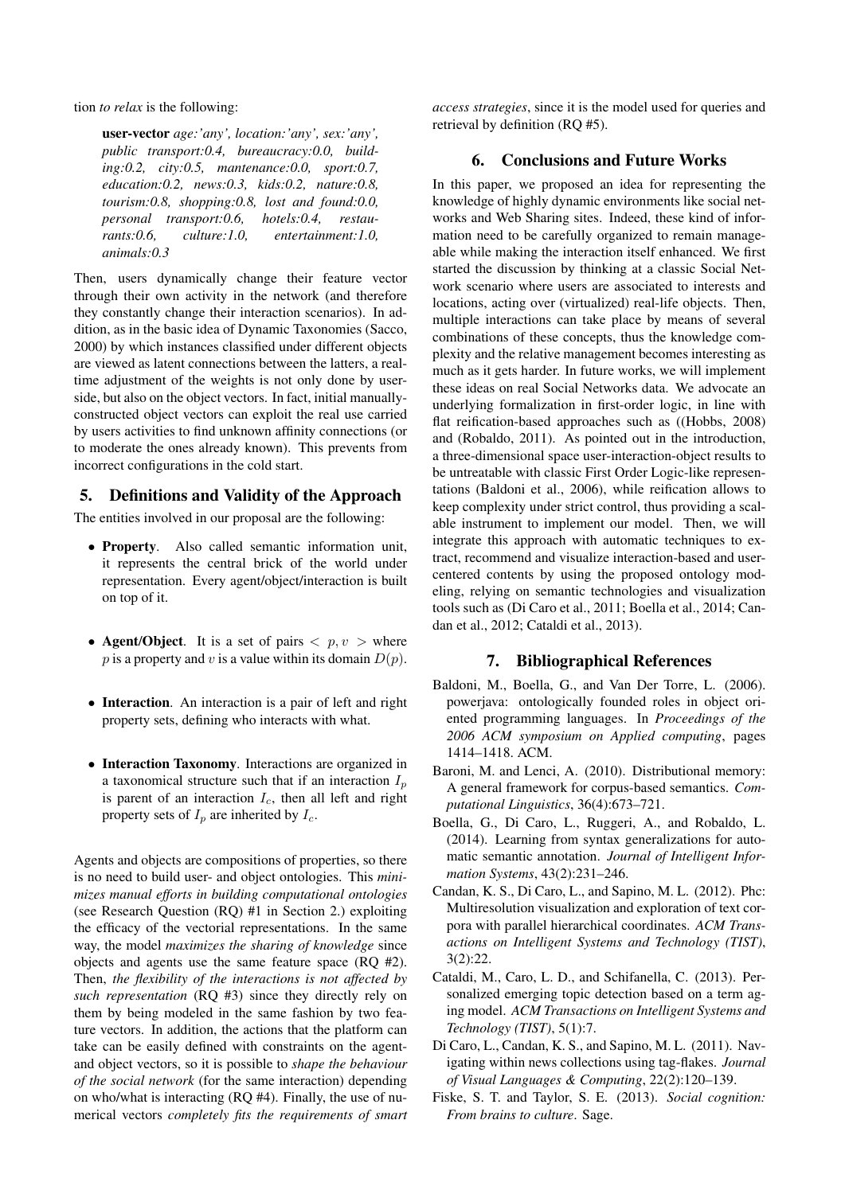tion *to relax* is the following:

user-vector *age:'any', location:'any', sex:'any', public transport:0.4, bureaucracy:0.0, building:0.2, city:0.5, mantenance:0.0, sport:0.7, education:0.2, news:0.3, kids:0.2, nature:0.8, tourism:0.8, shopping:0.8, lost and found:0.0, personal transport:0.6, hotels:0.4, restaurants:0.6, culture:1.0, entertainment:1.0, animals:0.3*

Then, users dynamically change their feature vector through their own activity in the network (and therefore they constantly change their interaction scenarios). In addition, as in the basic idea of Dynamic Taxonomies (Sacco, 2000) by which instances classified under different objects are viewed as latent connections between the latters, a realtime adjustment of the weights is not only done by userside, but also on the object vectors. In fact, initial manuallyconstructed object vectors can exploit the real use carried by users activities to find unknown affinity connections (or to moderate the ones already known). This prevents from incorrect configurations in the cold start.

# 5. Definitions and Validity of the Approach

The entities involved in our proposal are the following:

- Property. Also called semantic information unit, it represents the central brick of the world under representation. Every agent/object/interaction is built on top of it.
- Agent/Object. It is a set of pairs  $\langle p, v \rangle$  where p is a property and v is a value within its domain  $D(p)$ .
- Interaction. An interaction is a pair of left and right property sets, defining who interacts with what.
- Interaction Taxonomy. Interactions are organized in a taxonomical structure such that if an interaction  $I_p$ is parent of an interaction  $I_c$ , then all left and right property sets of  $I_p$  are inherited by  $I_c$ .

Agents and objects are compositions of properties, so there is no need to build user- and object ontologies. This *minimizes manual efforts in building computational ontologies* (see Research Question (RQ) #1 in Section 2.) exploiting the efficacy of the vectorial representations. In the same way, the model *maximizes the sharing of knowledge* since objects and agents use the same feature space (RQ #2). Then, *the flexibility of the interactions is not affected by such representation* (RQ #3) since they directly rely on them by being modeled in the same fashion by two feature vectors. In addition, the actions that the platform can take can be easily defined with constraints on the agentand object vectors, so it is possible to *shape the behaviour of the social network* (for the same interaction) depending on who/what is interacting (RQ #4). Finally, the use of numerical vectors *completely fits the requirements of smart* *access strategies*, since it is the model used for queries and retrieval by definition (RQ #5).

#### 6. Conclusions and Future Works

In this paper, we proposed an idea for representing the knowledge of highly dynamic environments like social networks and Web Sharing sites. Indeed, these kind of information need to be carefully organized to remain manageable while making the interaction itself enhanced. We first started the discussion by thinking at a classic Social Network scenario where users are associated to interests and locations, acting over (virtualized) real-life objects. Then, multiple interactions can take place by means of several combinations of these concepts, thus the knowledge complexity and the relative management becomes interesting as much as it gets harder. In future works, we will implement these ideas on real Social Networks data. We advocate an underlying formalization in first-order logic, in line with flat reification-based approaches such as ((Hobbs, 2008) and (Robaldo, 2011). As pointed out in the introduction, a three-dimensional space user-interaction-object results to be untreatable with classic First Order Logic-like representations (Baldoni et al., 2006), while reification allows to keep complexity under strict control, thus providing a scalable instrument to implement our model. Then, we will integrate this approach with automatic techniques to extract, recommend and visualize interaction-based and usercentered contents by using the proposed ontology modeling, relying on semantic technologies and visualization tools such as (Di Caro et al., 2011; Boella et al., 2014; Candan et al., 2012; Cataldi et al., 2013).

# 7. Bibliographical References

- Baldoni, M., Boella, G., and Van Der Torre, L. (2006). powerjava: ontologically founded roles in object oriented programming languages. In *Proceedings of the 2006 ACM symposium on Applied computing*, pages 1414–1418. ACM.
- Baroni, M. and Lenci, A. (2010). Distributional memory: A general framework for corpus-based semantics. *Computational Linguistics*, 36(4):673–721.
- Boella, G., Di Caro, L., Ruggeri, A., and Robaldo, L. (2014). Learning from syntax generalizations for automatic semantic annotation. *Journal of Intelligent Information Systems*, 43(2):231–246.
- Candan, K. S., Di Caro, L., and Sapino, M. L. (2012). Phc: Multiresolution visualization and exploration of text corpora with parallel hierarchical coordinates. *ACM Transactions on Intelligent Systems and Technology (TIST)*, 3(2):22.
- Cataldi, M., Caro, L. D., and Schifanella, C. (2013). Personalized emerging topic detection based on a term aging model. *ACM Transactions on Intelligent Systems and Technology (TIST)*, 5(1):7.
- Di Caro, L., Candan, K. S., and Sapino, M. L. (2011). Navigating within news collections using tag-flakes. *Journal of Visual Languages & Computing*, 22(2):120–139.
- Fiske, S. T. and Taylor, S. E. (2013). *Social cognition: From brains to culture*. Sage.